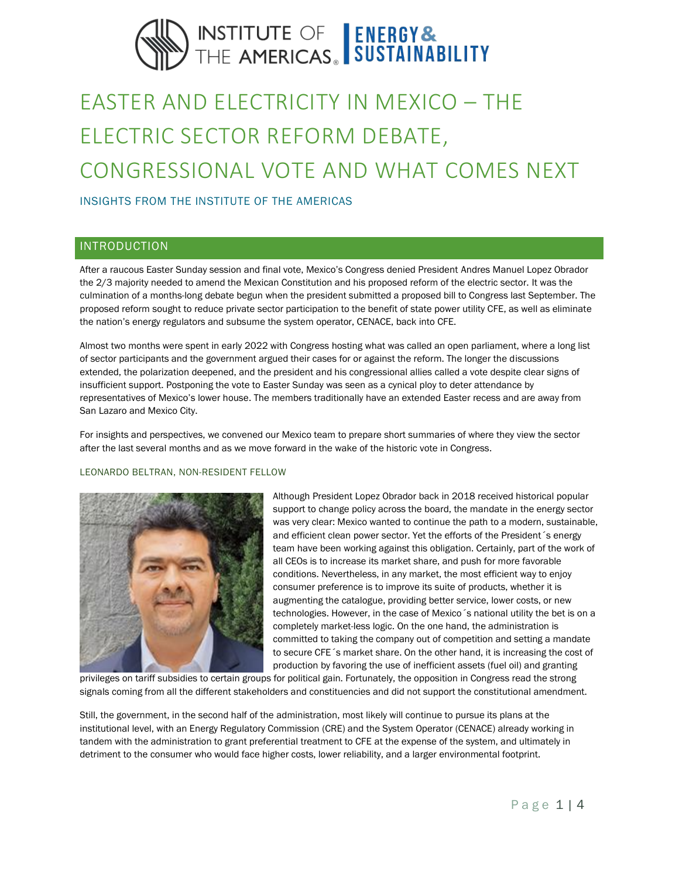# INSTITUTE OF ENERGY&<br>THE AMERICAS. SUSTAINABILITY

# EASTER AND ELECTRICITY IN MEXICO – THE ELECTRIC SECTOR REFORM DEBATE, CONGRESSIONAL VOTE AND WHAT COMES NEXT

INSIGHTS FROM THE INSTITUTE OF THE AMERICAS

# INTRODUCTION

After a raucous Easter Sunday session and final vote, Mexico's Congress denied President Andres Manuel Lopez Obrador the 2/3 majority needed to amend the Mexican Constitution and his proposed reform of the electric sector. It was the culmination of a months-long debate begun when the president submitted a proposed bill to Congress last September. The proposed reform sought to reduce private sector participation to the benefit of state power utility CFE, as well as eliminate the nation's energy regulators and subsume the system operator, CENACE, back into CFE.

Almost two months were spent in early 2022 with Congress hosting what was called an open parliament, where a long list of sector participants and the government argued their cases for or against the reform. The longer the discussions extended, the polarization deepened, and the president and his congressional allies called a vote despite clear signs of insufficient support. Postponing the vote to Easter Sunday was seen as a cynical ploy to deter attendance by representatives of Mexico's lower house. The members traditionally have an extended Easter recess and are away from San Lazaro and Mexico City.

For insights and perspectives, we convened our Mexico team to prepare short summaries of where they view the sector after the last several months and as we move forward in the wake of the historic vote in Congress.

### LEONARDO BELTRAN, NON-RESIDENT FELLOW



Although President Lopez Obrador back in 2018 received historical popular support to change policy across the board, the mandate in the energy sector was very clear: Mexico wanted to continue the path to a modern, sustainable, and efficient clean power sector. Yet the efforts of the President´s energy team have been working against this obligation. Certainly, part of the work of all CEOs is to increase its market share, and push for more favorable conditions. Nevertheless, in any market, the most efficient way to enjoy consumer preference is to improve its suite of products, whether it is augmenting the catalogue, providing better service, lower costs, or new technologies. However, in the case of Mexico´s national utility the bet is on a completely market-less logic. On the one hand, the administration is committed to taking the company out of competition and setting a mandate to secure CFE´s market share. On the other hand, it is increasing the cost of production by favoring the use of inefficient assets (fuel oil) and granting

privileges on tariff subsidies to certain groups for political gain. Fortunately, the opposition in Congress read the strong signals coming from all the different stakeholders and constituencies and did not support the constitutional amendment.

Still, the government, in the second half of the administration, most likely will continue to pursue its plans at the institutional level, with an Energy Regulatory Commission (CRE) and the System Operator (CENACE) already working in tandem with the administration to grant preferential treatment to CFE at the expense of the system, and ultimately in detriment to the consumer who would face higher costs, lower reliability, and a larger environmental footprint.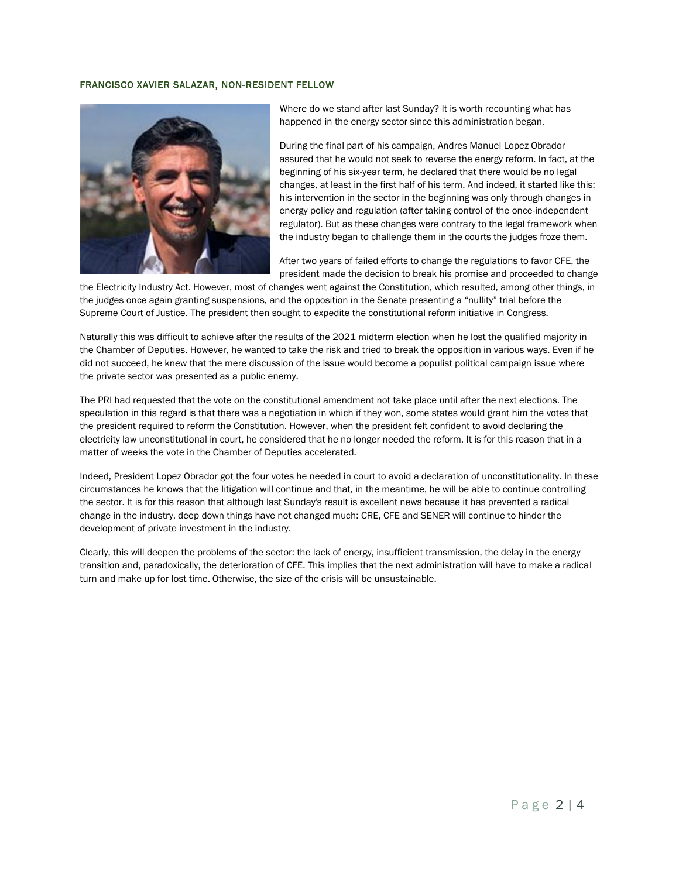#### FRANCISCO XAVIER SALAZAR, NON-RESIDENT FELLOW



Where do we stand after last Sunday? It is worth recounting what has happened in the energy sector since this administration began.

During the final part of his campaign, Andres Manuel Lopez Obrador assured that he would not seek to reverse the energy reform. In fact, at the beginning of his six-year term, he declared that there would be no legal changes, at least in the first half of his term. And indeed, it started like this: his intervention in the sector in the beginning was only through changes in energy policy and regulation (after taking control of the once-independent regulator). But as these changes were contrary to the legal framework when the industry began to challenge them in the courts the judges froze them.

After two years of failed efforts to change the regulations to favor CFE, the president made the decision to break his promise and proceeded to change

the Electricity Industry Act. However, most of changes went against the Constitution, which resulted, among other things, in the judges once again granting suspensions, and the opposition in the Senate presenting a "nullity" trial before the Supreme Court of Justice. The president then sought to expedite the constitutional reform initiative in Congress.

Naturally this was difficult to achieve after the results of the 2021 midterm election when he lost the qualified majority in the Chamber of Deputies. However, he wanted to take the risk and tried to break the opposition in various ways. Even if he did not succeed, he knew that the mere discussion of the issue would become a populist political campaign issue where the private sector was presented as a public enemy.

The PRI had requested that the vote on the constitutional amendment not take place until after the next elections. The speculation in this regard is that there was a negotiation in which if they won, some states would grant him the votes that the president required to reform the Constitution. However, when the president felt confident to avoid declaring the electricity law unconstitutional in court, he considered that he no longer needed the reform. It is for this reason that in a matter of weeks the vote in the Chamber of Deputies accelerated.

Indeed, President Lopez Obrador got the four votes he needed in court to avoid a declaration of unconstitutionality. In these circumstances he knows that the litigation will continue and that, in the meantime, he will be able to continue controlling the sector. It is for this reason that although last Sunday's result is excellent news because it has prevented a radical change in the industry, deep down things have not changed much: CRE, CFE and SENER will continue to hinder the development of private investment in the industry.

Clearly, this will deepen the problems of the sector: the lack of energy, insufficient transmission, the delay in the energy transition and, paradoxically, the deterioration of CFE. This implies that the next administration will have to make a radical turn and make up for lost time. Otherwise, the size of the crisis will be unsustainable.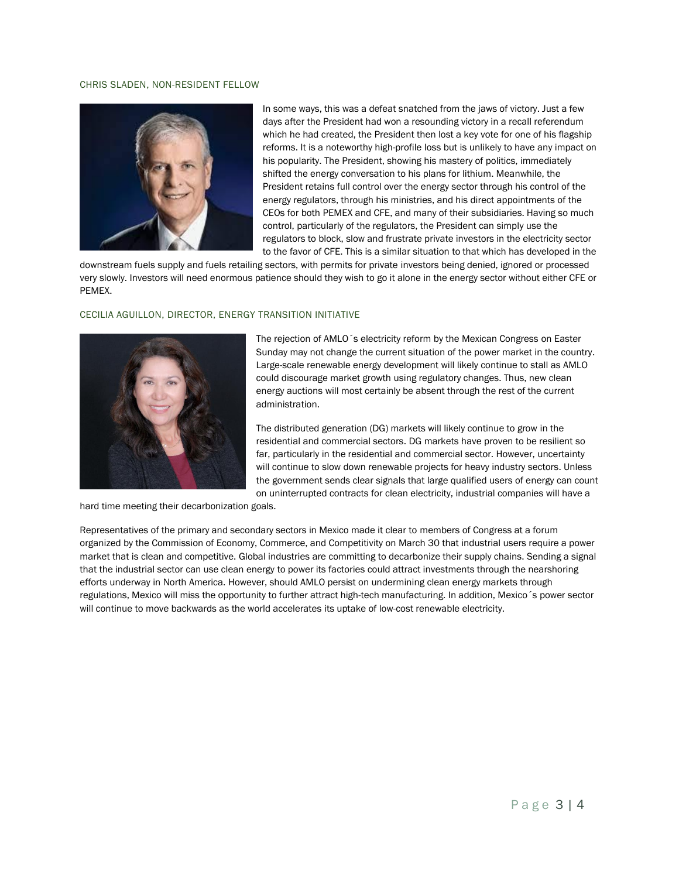#### CHRIS SLADEN, NON-RESIDENT FELLOW



In some ways, this was a defeat snatched from the jaws of victory. Just a few days after the President had won a resounding victory in a recall referendum which he had created, the President then lost a key vote for one of his flagship reforms. It is a noteworthy high-profile loss but is unlikely to have any impact on his popularity. The President, showing his mastery of politics, immediately shifted the energy conversation to his plans for lithium. Meanwhile, the President retains full control over the energy sector through his control of the energy regulators, through his ministries, and his direct appointments of the CEOs for both PEMEX and CFE, and many of their subsidiaries. Having so much control, particularly of the regulators, the President can simply use the regulators to block, slow and frustrate private investors in the electricity sector to the favor of CFE. This is a similar situation to that which has developed in the

downstream fuels supply and fuels retailing sectors, with permits for private investors being denied, ignored or processed very slowly. Investors will need enormous patience should they wish to go it alone in the energy sector without either CFE or PEMEX.

#### CECILIA AGUILLON, DIRECTOR, ENERGY TRANSITION INITIATIVE



The rejection of AMLO´s electricity reform by the Mexican Congress on Easter Sunday may not change the current situation of the power market in the country. Large-scale renewable energy development will likely continue to stall as AMLO could discourage market growth using regulatory changes. Thus, new clean energy auctions will most certainly be absent through the rest of the current administration.

The distributed generation (DG) markets will likely continue to grow in the residential and commercial sectors. DG markets have proven to be resilient so far, particularly in the residential and commercial sector. However, uncertainty will continue to slow down renewable projects for heavy industry sectors. Unless the government sends clear signals that large qualified users of energy can count on uninterrupted contracts for clean electricity, industrial companies will have a

hard time meeting their decarbonization goals.

Representatives of the primary and secondary sectors in Mexico made it clear to members of Congress at a forum organized by the Commission of Economy, Commerce, and Competitivity on March 30 that industrial users require a power market that is clean and competitive. Global industries are committing to decarbonize their supply chains. Sending a signal that the industrial sector can use clean energy to power its factories could attract investments through the nearshoring efforts underway in North America. However, should AMLO persist on undermining clean energy markets through regulations, Mexico will miss the opportunity to further attract high-tech manufacturing. In addition, Mexico´s power sector will continue to move backwards as the world accelerates its uptake of low-cost renewable electricity.